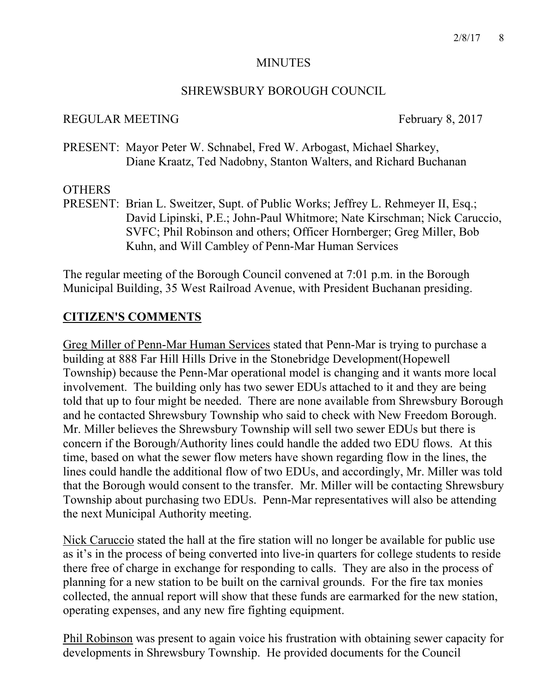## MINUTES

## SHREWSBURY BOROUGH COUNCIL

## REGULAR MEETING February 8, 2017

PRESENT: Mayor Peter W. Schnabel, Fred W. Arbogast, Michael Sharkey, Diane Kraatz, Ted Nadobny, Stanton Walters, and Richard Buchanan

## **OTHERS**

PRESENT: Brian L. Sweitzer, Supt. of Public Works; Jeffrey L. Rehmeyer II, Esq.; David Lipinski, P.E.; John-Paul Whitmore; Nate Kirschman; Nick Caruccio, SVFC; Phil Robinson and others; Officer Hornberger; Greg Miller, Bob Kuhn, and Will Cambley of Penn-Mar Human Services

The regular meeting of the Borough Council convened at 7:01 p.m. in the Borough Municipal Building, 35 West Railroad Avenue, with President Buchanan presiding.

# **CITIZEN'S COMMENTS**

Greg Miller of Penn-Mar Human Services stated that Penn-Mar is trying to purchase a building at 888 Far Hill Hills Drive in the Stonebridge Development(Hopewell Township) because the Penn-Mar operational model is changing and it wants more local involvement. The building only has two sewer EDUs attached to it and they are being told that up to four might be needed. There are none available from Shrewsbury Borough and he contacted Shrewsbury Township who said to check with New Freedom Borough. Mr. Miller believes the Shrewsbury Township will sell two sewer EDUs but there is concern if the Borough/Authority lines could handle the added two EDU flows. At this time, based on what the sewer flow meters have shown regarding flow in the lines, the lines could handle the additional flow of two EDUs, and accordingly, Mr. Miller was told that the Borough would consent to the transfer. Mr. Miller will be contacting Shrewsbury Township about purchasing two EDUs. Penn-Mar representatives will also be attending the next Municipal Authority meeting.

Nick Caruccio stated the hall at the fire station will no longer be available for public use as it's in the process of being converted into live-in quarters for college students to reside there free of charge in exchange for responding to calls. They are also in the process of planning for a new station to be built on the carnival grounds. For the fire tax monies collected, the annual report will show that these funds are earmarked for the new station, operating expenses, and any new fire fighting equipment.

Phil Robinson was present to again voice his frustration with obtaining sewer capacity for developments in Shrewsbury Township. He provided documents for the Council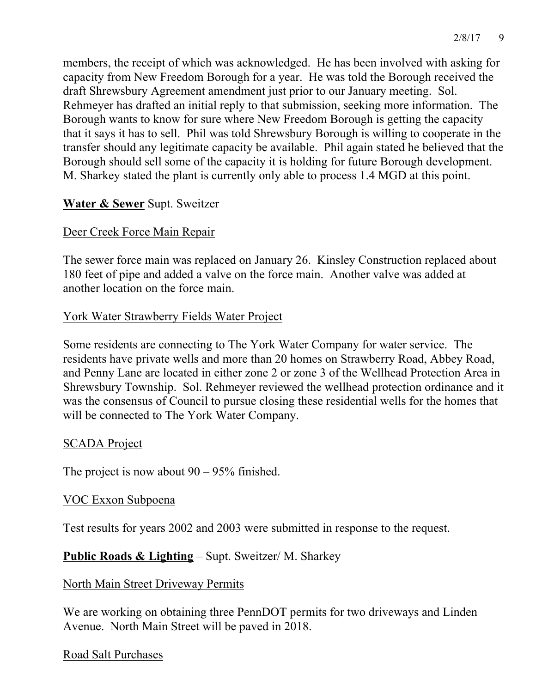members, the receipt of which was acknowledged. He has been involved with asking for capacity from New Freedom Borough for a year. He was told the Borough received the draft Shrewsbury Agreement amendment just prior to our January meeting. Sol. Rehmeyer has drafted an initial reply to that submission, seeking more information. The Borough wants to know for sure where New Freedom Borough is getting the capacity that it says it has to sell. Phil was told Shrewsbury Borough is willing to cooperate in the transfer should any legitimate capacity be available. Phil again stated he believed that the Borough should sell some of the capacity it is holding for future Borough development. M. Sharkey stated the plant is currently only able to process 1.4 MGD at this point.

# **Water & Sewer** Supt. Sweitzer

## Deer Creek Force Main Repair

The sewer force main was replaced on January 26. Kinsley Construction replaced about 180 feet of pipe and added a valve on the force main. Another valve was added at another location on the force main.

## York Water Strawberry Fields Water Project

Some residents are connecting to The York Water Company for water service. The residents have private wells and more than 20 homes on Strawberry Road, Abbey Road, and Penny Lane are located in either zone 2 or zone 3 of the Wellhead Protection Area in Shrewsbury Township. Sol. Rehmeyer reviewed the wellhead protection ordinance and it was the consensus of Council to pursue closing these residential wells for the homes that will be connected to The York Water Company.

## SCADA Project

The project is now about  $90 - 95\%$  finished.

## VOC Exxon Subpoena

Test results for years 2002 and 2003 were submitted in response to the request.

## **Public Roads & Lighting** – Supt. Sweitzer/ M. Sharkey

## North Main Street Driveway Permits

We are working on obtaining three PennDOT permits for two driveways and Linden Avenue. North Main Street will be paved in 2018.

## Road Salt Purchases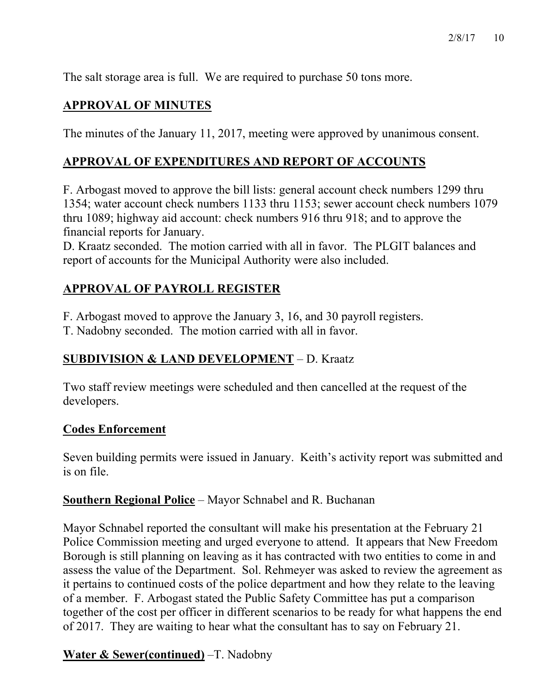The salt storage area is full. We are required to purchase 50 tons more.

# **APPROVAL OF MINUTES**

The minutes of the January 11, 2017, meeting were approved by unanimous consent.

## **APPROVAL OF EXPENDITURES AND REPORT OF ACCOUNTS**

F. Arbogast moved to approve the bill lists: general account check numbers 1299 thru 1354; water account check numbers 1133 thru 1153; sewer account check numbers 1079 thru 1089; highway aid account: check numbers 916 thru 918; and to approve the financial reports for January.

D. Kraatz seconded. The motion carried with all in favor. The PLGIT balances and report of accounts for the Municipal Authority were also included.

# **APPROVAL OF PAYROLL REGISTER**

F. Arbogast moved to approve the January 3, 16, and 30 payroll registers.

T. Nadobny seconded. The motion carried with all in favor.

# **SUBDIVISION & LAND DEVELOPMENT** – D. Kraatz

Two staff review meetings were scheduled and then cancelled at the request of the developers.

## **Codes Enforcement**

Seven building permits were issued in January. Keith's activity report was submitted and is on file.

## **Southern Regional Police** – Mayor Schnabel and R. Buchanan

Mayor Schnabel reported the consultant will make his presentation at the February 21 Police Commission meeting and urged everyone to attend. It appears that New Freedom Borough is still planning on leaving as it has contracted with two entities to come in and assess the value of the Department. Sol. Rehmeyer was asked to review the agreement as it pertains to continued costs of the police department and how they relate to the leaving of a member. F. Arbogast stated the Public Safety Committee has put a comparison together of the cost per officer in different scenarios to be ready for what happens the end of 2017. They are waiting to hear what the consultant has to say on February 21.

# **Water & Sewer(continued)** –T. Nadobny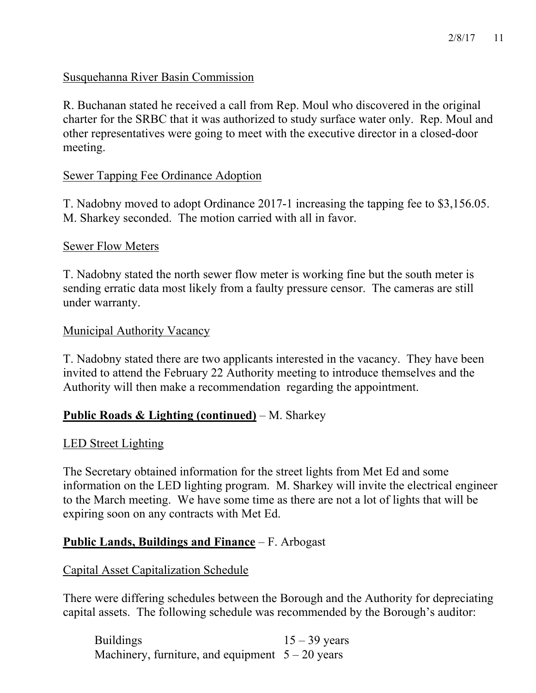### Susquehanna River Basin Commission

R. Buchanan stated he received a call from Rep. Moul who discovered in the original charter for the SRBC that it was authorized to study surface water only. Rep. Moul and other representatives were going to meet with the executive director in a closed-door meeting.

### Sewer Tapping Fee Ordinance Adoption

T. Nadobny moved to adopt Ordinance 2017-1 increasing the tapping fee to \$3,156.05. M. Sharkey seconded. The motion carried with all in favor.

### Sewer Flow Meters

T. Nadobny stated the north sewer flow meter is working fine but the south meter is sending erratic data most likely from a faulty pressure censor. The cameras are still under warranty.

### Municipal Authority Vacancy

T. Nadobny stated there are two applicants interested in the vacancy. They have been invited to attend the February 22 Authority meeting to introduce themselves and the Authority will then make a recommendation regarding the appointment.

## **Public Roads & Lighting (continued)** – M. Sharkey

### LED Street Lighting

The Secretary obtained information for the street lights from Met Ed and some information on the LED lighting program. M. Sharkey will invite the electrical engineer to the March meeting. We have some time as there are not a lot of lights that will be expiring soon on any contracts with Met Ed.

### **Public Lands, Buildings and Finance** – F. Arbogast

### Capital Asset Capitalization Schedule

There were differing schedules between the Borough and the Authority for depreciating capital assets. The following schedule was recommended by the Borough's auditor:

Buildings  $15 - 39$  years Machinery, furniture, and equipment  $5 - 20$  years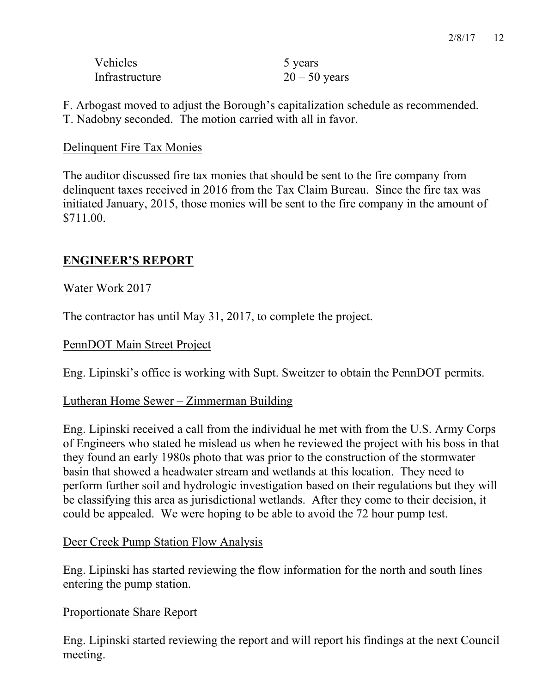| <b>Vehicles</b> | 5 years         |
|-----------------|-----------------|
| Infrastructure  | $20 - 50$ years |

F. Arbogast moved to adjust the Borough's capitalization schedule as recommended. T. Nadobny seconded. The motion carried with all in favor.

## Delinquent Fire Tax Monies

The auditor discussed fire tax monies that should be sent to the fire company from delinquent taxes received in 2016 from the Tax Claim Bureau. Since the fire tax was initiated January, 2015, those monies will be sent to the fire company in the amount of \$711.00.

## **ENGINEER'S REPORT**

## Water Work 2017

The contractor has until May 31, 2017, to complete the project.

### PennDOT Main Street Project

Eng. Lipinski's office is working with Supt. Sweitzer to obtain the PennDOT permits.

## Lutheran Home Sewer – Zimmerman Building

Eng. Lipinski received a call from the individual he met with from the U.S. Army Corps of Engineers who stated he mislead us when he reviewed the project with his boss in that they found an early 1980s photo that was prior to the construction of the stormwater basin that showed a headwater stream and wetlands at this location. They need to perform further soil and hydrologic investigation based on their regulations but they will be classifying this area as jurisdictional wetlands. After they come to their decision, it could be appealed. We were hoping to be able to avoid the 72 hour pump test.

### Deer Creek Pump Station Flow Analysis

Eng. Lipinski has started reviewing the flow information for the north and south lines entering the pump station.

### Proportionate Share Report

Eng. Lipinski started reviewing the report and will report his findings at the next Council meeting.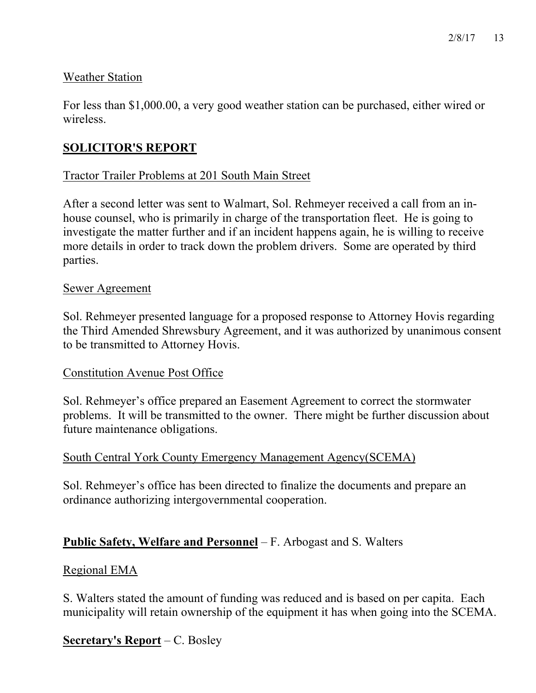## Weather Station

For less than \$1,000.00, a very good weather station can be purchased, either wired or wireless.

# **SOLICITOR'S REPORT**

## Tractor Trailer Problems at 201 South Main Street

After a second letter was sent to Walmart, Sol. Rehmeyer received a call from an inhouse counsel, who is primarily in charge of the transportation fleet. He is going to investigate the matter further and if an incident happens again, he is willing to receive more details in order to track down the problem drivers. Some are operated by third parties.

### Sewer Agreement

Sol. Rehmeyer presented language for a proposed response to Attorney Hovis regarding the Third Amended Shrewsbury Agreement, and it was authorized by unanimous consent to be transmitted to Attorney Hovis.

### Constitution Avenue Post Office

Sol. Rehmeyer's office prepared an Easement Agreement to correct the stormwater problems. It will be transmitted to the owner. There might be further discussion about future maintenance obligations.

## South Central York County Emergency Management Agency(SCEMA)

Sol. Rehmeyer's office has been directed to finalize the documents and prepare an ordinance authorizing intergovernmental cooperation.

## **Public Safety, Welfare and Personnel** – F. Arbogast and S. Walters

### Regional EMA

S. Walters stated the amount of funding was reduced and is based on per capita. Each municipality will retain ownership of the equipment it has when going into the SCEMA.

## **Secretary's Report** – C. Bosley